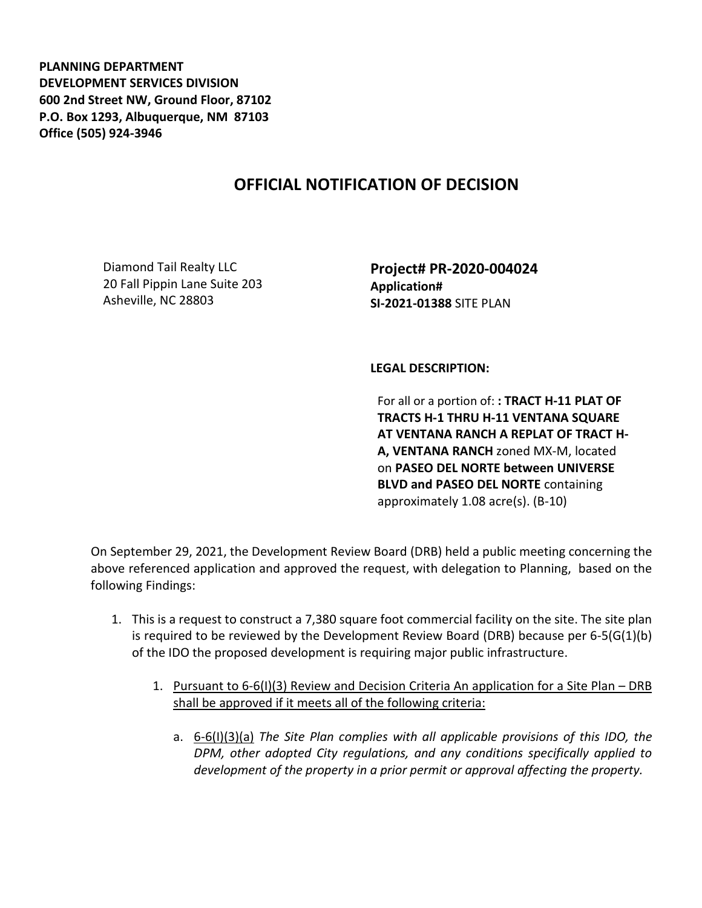**PLANNING DEPARTMENT DEVELOPMENT SERVICES DIVISION 600 2nd Street NW, Ground Floor, 87102 P.O. Box 1293, Albuquerque, NM 87103 Office (505) 924-3946** 

## **OFFICIAL NOTIFICATION OF DECISION**

Diamond Tail Realty LLC 20 Fall Pippin Lane Suite 203 Asheville, NC 28803

**Project# PR-2020-004024 Application# SI-2021-01388** SITE PLAN

## **LEGAL DESCRIPTION:**

For all or a portion of: **: TRACT H-11 PLAT OF TRACTS H-1 THRU H-11 VENTANA SQUARE AT VENTANA RANCH A REPLAT OF TRACT H-A, VENTANA RANCH** zoned MX-M, located on **PASEO DEL NORTE between UNIVERSE BLVD and PASEO DEL NORTE** containing approximately 1.08 acre(s). (B-10)

On September 29, 2021, the Development Review Board (DRB) held a public meeting concerning the above referenced application and approved the request, with delegation to Planning, based on the following Findings:

- 1. This is a request to construct a 7,380 square foot commercial facility on the site. The site plan is required to be reviewed by the Development Review Board (DRB) because per 6-5(G(1)(b) of the IDO the proposed development is requiring major public infrastructure.
	- 1. Pursuant to 6-6(I)(3) Review and Decision Criteria An application for a Site Plan DRB shall be approved if it meets all of the following criteria:
		- a. 6-6(I)(3)(a) *The Site Plan complies with all applicable provisions of this IDO, the DPM, other adopted City regulations, and any conditions specifically applied to development of the property in a prior permit or approval affecting the property.*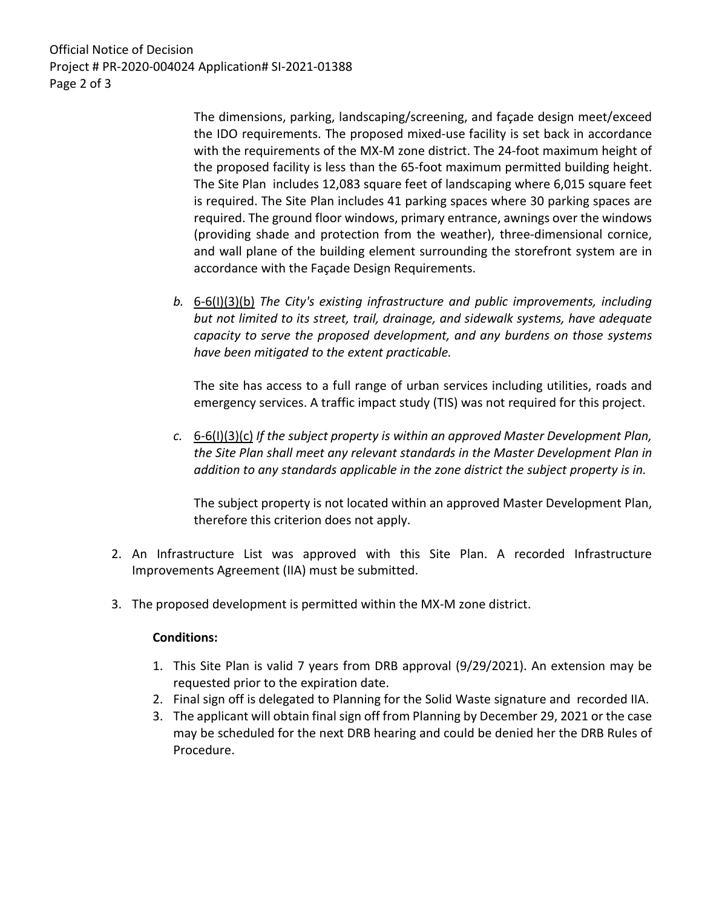Official Notice of Decision Project # PR-2020-004024 Application# SI-2021-01388 Page 2 of 3

> The dimensions, parking, landscaping/screening, and façade design meet/exceed the IDO requirements. The proposed mixed-use facility is set back in accordance with the requirements of the MX-M zone district. The 24-foot maximum height of the proposed facility is less than the 65-foot maximum permitted building height. The Site Plan includes 12,083 square feet of landscaping where 6,015 square feet is required. The Site Plan includes 41 parking spaces where 30 parking spaces are required. The ground floor windows, primary entrance, awnings over the windows (providing shade and protection from the weather), three-dimensional cornice, and wall plane of the building element surrounding the storefront system are in accordance with the Façade Design Requirements.

*b.* 6-6(I)(3)(b) *The City's existing infrastructure and public improvements, including but not limited to its street, trail, drainage, and sidewalk systems, have adequate capacity to serve the proposed development, and any burdens on those systems have been mitigated to the extent practicable.* 

The site has access to a full range of urban services including utilities, roads and emergency services. A traffic impact study (TIS) was not required for this project.

*c.* 6-6(I)(3)(c) *If the subject property is within an approved Master Development Plan, the Site Plan shall meet any relevant standards in the Master Development Plan in addition to any standards applicable in the zone district the subject property is in.*

The subject property is not located within an approved Master Development Plan, therefore this criterion does not apply.

- 2. An Infrastructure List was approved with this Site Plan. A recorded Infrastructure Improvements Agreement (IIA) must be submitted.
- 3. The proposed development is permitted within the MX-M zone district.

## **Conditions:**

- 1. This Site Plan is valid 7 years from DRB approval (9/29/2021). An extension may be requested prior to the expiration date.
- 2. Final sign off is delegated to Planning for the Solid Waste signature and recorded IIA.
- 3. The applicant will obtain final sign off from Planning by December 29, 2021 or the case may be scheduled for the next DRB hearing and could be denied her the DRB Rules of Procedure.